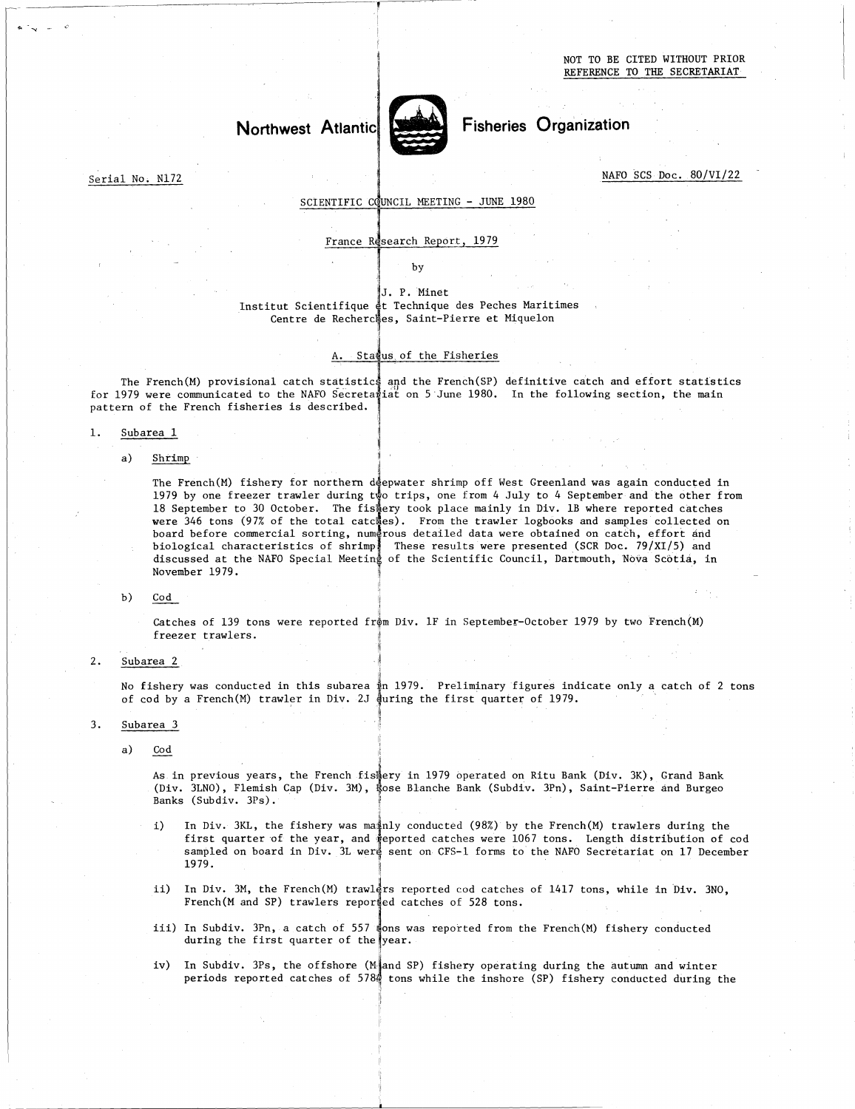# Northwest Atlantic



Fisheries Organization

Serial No. N172

NAFO SCS Doc. 80/VI/22

# SCIENTIFIC COUNCIL MEETING - JUNE 1980

France Research Report, 1979

by

# Institut Scientifique et Technique des Peches Maritimes Centre de Recherches, J.<br>
ifique et .<br>
Recherches,<br>
A. Status,<br>
atistics and J. P. Minet Saint-Pierre et Miquelon

# A. Status of the Fisheries

for 1979 were communicated to the NAFO Secreta‡iat on 5 June 1980. In the following section, the main The French(M) provisional catch statistics and the French(SP) definitive catch and effort statistics pattern of the French fisheries is described. Saint-Pierre et miqueion<br>
f the Fisheries<br>
the French(SP) definitive catch and effor<br>
on 5 June 1980. In the following section,

# 1. Subarea 1

a) Shrimp

The French(M) fishery for northern deepwater shrimp off West Greenland was again conducted in 1979 by one freezer trawler during t∲o trips, one from 4 July to 4 September and the other from took place mainly in Div. 1B where reported catches were 346 tons (97% of the total catches). From the trawler logbooks and samples collected on and and in detailed data were obtained on catch, effort These results were results were reported can<br>s). From the trawler logbooks and samples collect<br>ous detailed data were obtained on catch, effort a<br>These results were presented (SCR Doc. 79/XI/5) a<br>of the Scientific Council, Shrimp<br>The French(M) fishery for northern deepw<br>1979 by one freezer trawler during two t<br>18 September to 30 October. The fishery<br>were 346 tons (97% of the total catches)<br>board before commercial sorting, numerou board before commercial sorting, numerous biological characteristics of shrimp' discussed at the NAFO Special Meeting November 1979.

## $b)$ Cod

Catches of 139 tons were reported fråm Div. 1F in September-October 1979 by two French(M) freezer trawlers.

2. Subarea 2

No fishery was conducted in this subarea  $\frac{1}{4}$ n 1979. Preliminary figures indicate only a catch of 2 tons of cod by a French(M) trawler in Div. 2J  $\frac{1}{2}$  during the first quarter of 1979. Subarea<br>No fishe<br>of cod b<br>Subarea<br>a) Cod<br>As (Di

3. Subarea 3

As in previous years, the French fistery in 1979 operated on Ritu Bank (Div. 3K), Grand Bank (Div. 3LNO), Flemish Cap (Div. 3M), Rose Blanche Bank (Subdiv. 3Pn), Saint-Pierre and Burgeo Banks (Subdiv. 3Ps).

- In Div. 3KL, the fishery was mainly conducted (98%) by the French(M) trawlers during the i) first quarter of the year, and  $\frac{*}{4}$ eported catches were  $1067$  tons. Length distribution of  $\rm{cod}$ sampled on board in Div. 3L were sent on CFS-1 forms to the NAFO Secretariat on 17 December 1979.
- ii) In Div. 3M, the French(M) trawlers reported cod catches of 1417 tons, while in Div. 3NO, French(M and SP) trawlers reported catches of 528 tons.
- iii) In Subdiv. 3Pn, a catch of 557  $\frac{1}{2}$  ons was reported from the French(M) fishery conducted during the first quarter of the year.
- iv) In Subdiv. 3Ps, the offshore (M and SP) fishery operating during the autumn and winter periods reported catches of 5784 tons while the inshore (SP) fishery conducted during the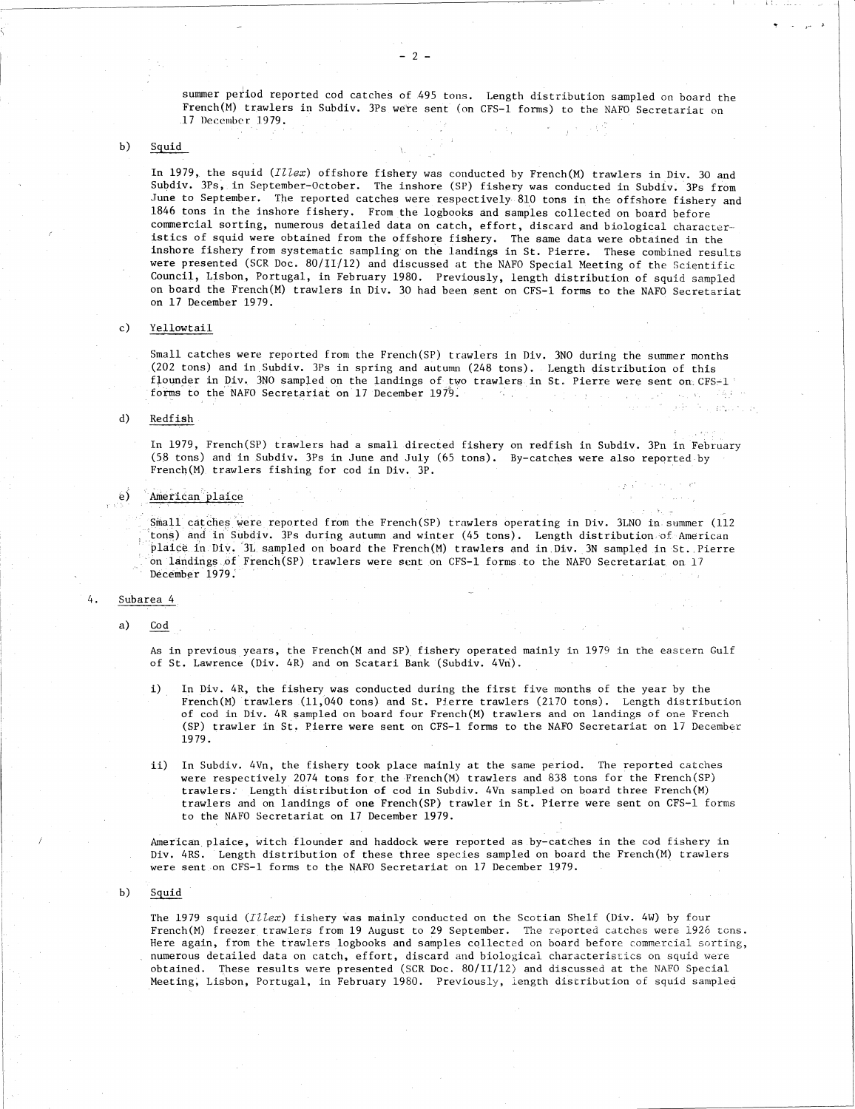summer period reported cod catches of 495 tons. Length distribution sampled on board the French(M) trawlers in Subdiv. 3Ps were sent (on CFS-1 forms) to the NAFO Secretariat on .17 December 1979.

 $b)$ Squid

> In 1979, the squid *(Illex)* offshore fishery was conducted by French(M) trawlers in Div. 30 and Subdiv. 3Ps, in September-October. The inshore (SP) fishery was conducted in Subdiv. 3Ps from June to September. The reported catches were respectively 810 tons in the offshore fishery and 1846 tons in the inshore fishery. From the logbooks and samples collected on board before commercial sorting, numerous detailed data on catch, effort, discard and biological characteristics of squid were obtained from the offshore fishery. The same data were obtained in the inshore fishery from systematic sampling on the landings in St. Pierre. These combined results were presented (SCR Doc. 80/11/12) and discussed at the NAFO Special Meeting of the Scientific Council, Lisbon, Portugal, in February 1980. Previously, length distribution of squid sampled on board the French(M) trawlers in Div. 30 had been sent on CFS-1 forms to the NAFO Secretariat on 17 December 1979.

# $_{c}$ ) Yellowtail

Small catches were reported from the French(SP) trawlers in Div. 3N0 during the summer months (202 tons) and in Subdiv. 3Ps in spring and autumn (248 tons). Length distribution of this flounder in Div. 3NO sampled on the landings of two trawlers in St. Pierre were sent on CFS-1 forms to the NAFO Secretariat on 17 December 1979. **Controller**  $\mathcal{A} \subset \mathcal{C}$  , we get  $\mathcal{A}$  .  $\chi\to\chi$ 

Australian de

 $\hat{\psi}$  and  $\hat{\psi}_T$ 

# $d)$ Redfish

In 1979, French(SP) trawlers had a small directed fishery on redfish in Subdiv. 3Pn in February (58 tons) and in Subdiv. 3Ps in June and July (65 tons). By-catches were also reported by French(M) trawlers fishing for cod in Div. 3P.

# American plaice

Small catches were reported from the French(SP) trawlers operating in Div. 3LNO in summer (112 tons) and in Subdiv. 3Ps during autumn and winter (45 tons). Length distribution of American plaice in Div. IL sampled on board the French(M) trawlers and in.Div. 3N sampled in St. Pierre on landings,.of ' French(SP) trawlers were sent on CFS-1 forms to the NAFO Secretariat on 17 December 1979. In 1<br>
(58<br>
Fren<br>
e) Amer<br>
a) As 1<br>
As 1<br>
As 1<br>
As 1<br>
As 1<br>
As 1<br>
As 1<br>
As 1<br>
As 1<br>
As 1<br>
As 1<br>
As 1<br>
As 1<br>
As 1<br>
Allenger As 2<br>
Allenger As 2<br>
Allenger As 2<br>
Allenger As 2<br>
Allenger As 2<br>
Allenger As 2<br>
As 1<br>
As 1<br>
As 1<br>
A Free<br>
e) <u>American</u><br>
Smail<br>
tons<br>
plane<br>
Dec<br>
Subarea<br>
a) Cod<br>
As<br>
of

As in previous years, the French(M and SP) fishery operated mainly in 1979 in the eastern Gulf of St. Lawrence (Div. 4R) and on Scatari Bank (Subdiv. 4Vn).

- In Div. 4R, the fishery was conducted during the first five months of the year by the  $\bf{i}$ ) French(M) trawlers (11,040 tons) and St. Pierre trawlers (2170 tons). Length distribution of cod in Div. 4R sampled on board four French(M) trawlers and on landings of one French (SP) trawler in St. Pierre were sent on CFS-1 forms to the NAFO Secretariat on 17 December 1979.
- ii) In Subdiv. 4Vn, the fishery took place mainly at the same period. The reported catches were respectively 2074 tons for the French(M) trawlers and 838 tons for the French(SP) trawlers; Length distribution of cod in Subdiv. 4Vn sampled on board three French(M) trawlers and on landings of one French(SP) trawler in St. Pierre were sent on CFS-1 forms to the NAFO Secretariat on 17 December 1979.

American plaice, witch flounder and haddock were reported as by-catches in the cod fishery in Div. 4RS. Length distribution of these three species sampled on board the French(M) trawlers were sent on CFS-1 forms to the NAFO Secretariat on 17 December 1979.

b) Squid

The 1979 squid *(Illex)* fishery was mainly conducted on the Scotian Shelf (Div. 4W) by four French(M) freezer trawlers from 19 August to 29 September. The reported catches were 1926 tons. Here again, from the trawlers logbooks and samples collected on board before commercial sorting, numerous detailed data on catch, effort, discard and biological characteristics on squid were obtained. These results were presented (SCR Doc. 80/11/12) and discussed at the NAFO Special Meeting, Lisbon, Portugal, in February 1980. Previously, length distribution of squid sampled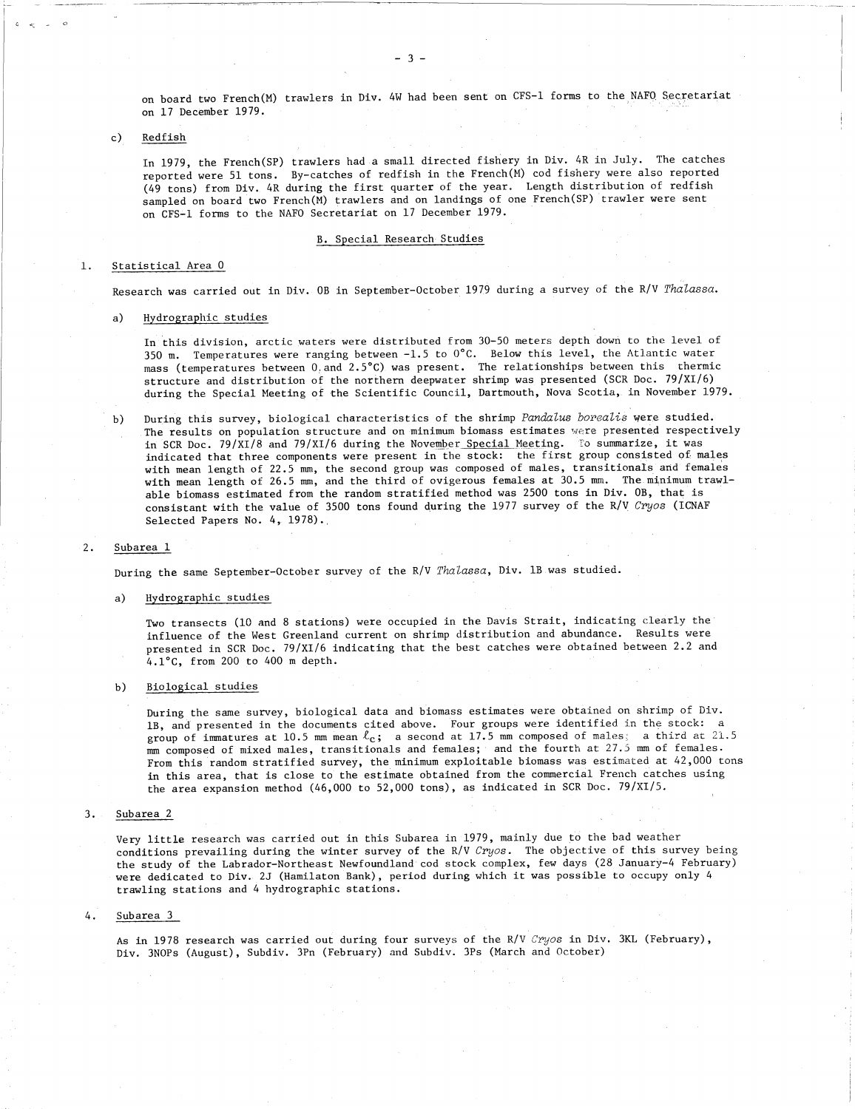on board two French(M) trawlers in Div. 4W had been sent on CFS-1 forms to the NAFO Secretariat on 17 December 1979.

Redfish  $c)$ 

> In 1979, the French(SP) trawlers had a small directed fishery in Div. 4R in July. The catches reported were 51 tons. By-catches of redfish in the French(M) cod fishery were also reported (49 tons) from Div. 4R during the first quarter of the year. Length distribution of redfish sampled on board two French(M) trawlers and on landings of one French(SP) trawler were sent on CFS-1 forms to the NAFO Secretariat on 17 December 1979.

# B. Special Research Studies

# Statistical Area 0

Research was carried out in Div. OB in September-October 1979 during a survey of the R/V *Thalassa.*

on CFS-1 TOTMS to the<br>Statistical Area 0<br>Research was carried out<br>a) Hydrographic studies<br>In this division, ar<br>350 m. Temperatures In this division, arctic waters were distributed from 30-50 meters depth down to the level of 350 m. Temperatures were ranging between -1.5 to 0°C. Below this level, the Atlantic water mass (temperatures between 0.and 2.5°C) was present. The relationships between this thermic structure and distribution of the northern deepwater shrimp was presented (SCR Doc. 79/XI/6) during the Special Meeting of the Scientific Council, Dartmouth, Nova Scotia, in November 1979.

During this survey, biological characteristics of the shrimp *Pandalus borealis* were studied.  $b)$ The results on population structure and on minimum biomass estimates were presented respectively in SCR Doc. 79/XI/8 and 79/XI/6 during the November Special Meeting. To summarize, it was indicated that three components were present in the stock: the first group consisted of males with mean length of 22.5 mm, the second group was composed of males, transitionals and females with mean length of 26.5 mm, and the third of ovigerous females at 30.5 mm. The minimum trawlable biomass estimated from the random stratified method was 2500 tons in Div. OB, that is able biomass estimate<br>
consistant with the<br>
Selected Papers No.<br>
Subarea 1<br>
During the same September<br>
a) Hydrographic studies<br>
Two transects (10 an<br>
influence of the Wes consistant with the value of 3500 tons found during the 1977 survey of the R/V *Cryos* (ICNAF Selected Papers No. 4, 1978).

# $2.$ Subarea 1

During the same September-October survey of the R/V *Thalassa,* Div. 1B was studied.

Two transects (10 and 8 stations) were occupied in the Davis Strait, indicating clearly the influence of the West Greenland current on shrimp distribution and abundance. Results were presented in SCR Doc. 79/XI/6 indicating that the best catches were obtained between 2.2 and 4.1°C, from 200 to 400 m depth.

# b) Biological studies

During the same survey, biological data and biomass estimates were obtained on shrimp of Div. 1B, and presented in the documents cited above. Four groups were identified in the stock: a group of immatures at 10.5 mm mean  $\ell_c$ ; a second at 17.5 mm composed of males; a third at 21.5 mm composed of mixed males, transitionals and females; and the fourth at 27.5 mm of females. From this random stratified survey, the minimum exploitable biomass was estimated at 42,000 tons in this area, that is close to the estimate obtained from the commercial French catches using the area expansion method (46,000 to 52,000 tons), as indicated in SCR Doc. 79/XI/5.

 $3.1$ Subarea 2

> Very little research was carried out in this Subarea in 1979, mainly due to the bad weather conditions prevailing during the winter survey of the R/V *Cryos.* The objective of this survey being the study of the Labrador-Northeast Newfoundland cod stock complex, few days (28 January-4 February) were dedicated to Div. 2J (Hamilaton Bank), period during which it was possible to occupy only 4 trawling stations and 4 hydrographic stations.

# $4.$ Subarea 3

As in 1978 research was carried out during four surveys of the R/V *Cryos* in Div. 3KL (February), Div. 3NOPs (August), Subdiv. 3Pn (February) and Subdiv. 3Ps (March and October)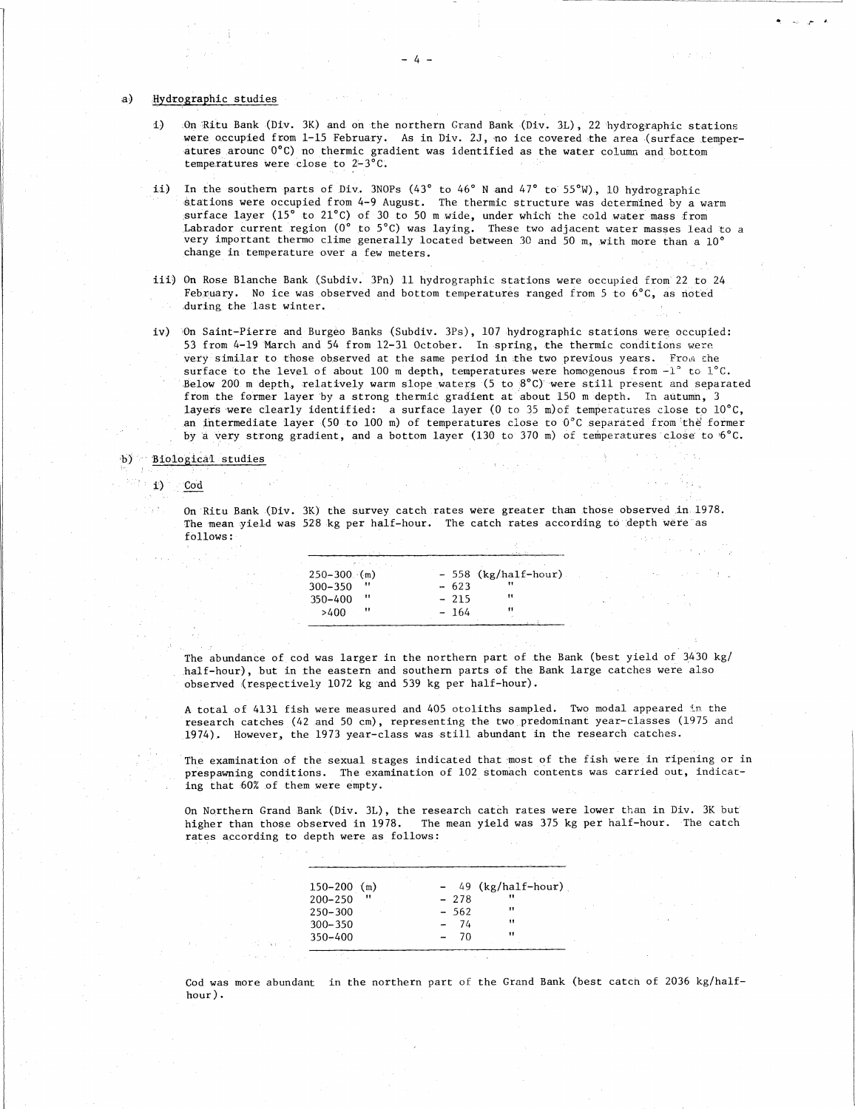$a)$ Hydrographic studies

- 1) On Ritu Bank (Div. 3K) and on the northern Grand Bank (Div. 3L), 22 hydrographic stations were occupied from 1-15 February. As in Div. 2J, no ice covered the area (surface temperatures arounc 0°C) no thermic gradient was identified as the water column and bottom temperatures were close to 2-3°C.
- In the southern parts of Div. 3NOPs (43° to 46° N and 47° to 55°W), 10 hydrographic  $11)$ stations were occupied from 4-9 August. The thermic structure was determined by a warm surface layer (15° to 21°C) of 30 to 50 m wide, under which the cold water mass from Labrador current region (0° to 5°C) was laying. These two adjacent water masses lead to a very important thermo clime generally located between 30 and 50 m, with more than a 10° change in temperature over a few meters.
- iii) On Rose Blanche Bank (Subdiv. 3Pn) 11 hydrographic stations were occupied from 22 to 24 February. No ice was observed and bottom temperatures ranged from 5 to 6°C, as noted ,during, the last winter.
- iv) On Saint-Pierre and Burgeo Banks (Subdiv. 3Ps), 107 hydrographic stations were occupied: 53 from 4-19 March and 54 from 12-31 October. In spring, the thermic conditions were very similar to those observed at the same period in the two previous years. From the surface to the level of about 100 m depth, temperatures were homogenous from -1° to 1°C. Below 200 m depth, relatively warm slope waters (5 to 8%) were still present and separated from the former layer by a strong thermic gradient at about 150 m depth. In autumn, 3 layers were clearly identified: a surface layer (0 to 35 m)of temperatures close to 10°C, an intermediate layer (50 to 100 m) of temperatures close to  $0^{\circ}$ C separated from the former by a very strong gradient, and a bottom layer (130 to 370 m) of temperatures close to  $6^{\circ}$ C. 53 from 4-19 1<br>
very similar 1<br>
surface to the<br>
Below 200 m dd<br>
from the form<br>
layers were c<br>
an intermedia<br>
by a very stree<br>
b) Biological studies<br>
i) Cod

On Ritu Bank (Div. 3K) the survey catch rates were greater than those observed in 1978. The mean yield was 528 kg per half-hour. The catch rates according to depth were as follows:

| er by a strong thermic gradient at about 150<br>identified: a surface layer (0 to 35 m) of<br>er (50 to 100 m) of temperatures close to 0 $^{\circ}$<br>adient, and a bottom layer (130 to 370 m) of |        |                       |                                              |
|------------------------------------------------------------------------------------------------------------------------------------------------------------------------------------------------------|--------|-----------------------|----------------------------------------------|
|                                                                                                                                                                                                      |        |                       |                                              |
|                                                                                                                                                                                                      |        |                       |                                              |
|                                                                                                                                                                                                      |        |                       |                                              |
|                                                                                                                                                                                                      |        |                       |                                              |
| 528 kg per half-hour. The catch rates acco:                                                                                                                                                          |        |                       | 3K) the survey catch rates were greater tham |
|                                                                                                                                                                                                      |        |                       |                                              |
| $250 - 300$ (m)                                                                                                                                                                                      |        |                       |                                              |
|                                                                                                                                                                                                      | $-623$ | - 558 (kg/half-hour). |                                              |
| $300 - 350$<br>-11                                                                                                                                                                                   | - 215  | 11                    |                                              |
| 350-400<br>>400                                                                                                                                                                                      | 164    | 11                    |                                              |
|                                                                                                                                                                                                      |        |                       |                                              |

The abundance of cod was larger in the northern part of the Bank (best yield of 3430 kg/ half-hour), but in the eastern and southern parts 'of the Bank large catches were also observed (respectively 1072 kg and 539 kg per half-hour).

A total of 4131 fish were measured and 405 otoliths sampled. Two modal appeared in the research catches (42 and 50 cm), representing the two predominant year-classes (1975 and .1974). However, the 1973 year-class was still abundant in the research catches.

The examination of the sexual stages indicated that most of the fish were in ripening or in prespawning conditions. The examination of 102 stomach contents was carried out, indicating that 60% of them were empty.

On Northern Grand Bank (Div. 3L), the research catch rates were lower than in Div. 3K but higher than those observed in 1978. The mean yield was 375 kg per half-hour. The catch rates according to depth were as follows:

| he sexual stages indicated that most of the<br>ns. The examination of 102 stomach content<br>were empty.             |        |                     |  |
|----------------------------------------------------------------------------------------------------------------------|--------|---------------------|--|
| mk (Div. 3L), the research catch rates were<br>served in 1978. – The mean yield was 375 kg<br>lepth were as follows: |        |                     |  |
|                                                                                                                      |        |                     |  |
| $150-200$ (m)                                                                                                        |        | - 49 (kg/half-hour) |  |
| $200 - 250$                                                                                                          | $-278$ |                     |  |
| $250 - 300$                                                                                                          | $-562$ | $^{\prime}$         |  |
| $300 - 350$                                                                                                          | - 74   | $^{\dagger}$        |  |
| 350-400                                                                                                              | -70    |                     |  |
|                                                                                                                      |        |                     |  |
| in the northern part of the Grand Bank<br>ıt                                                                         |        |                     |  |

Cod was more abundant in the northern part of the Grand Bank (best catch of 2036 kg/halfhour).

-4-

Cod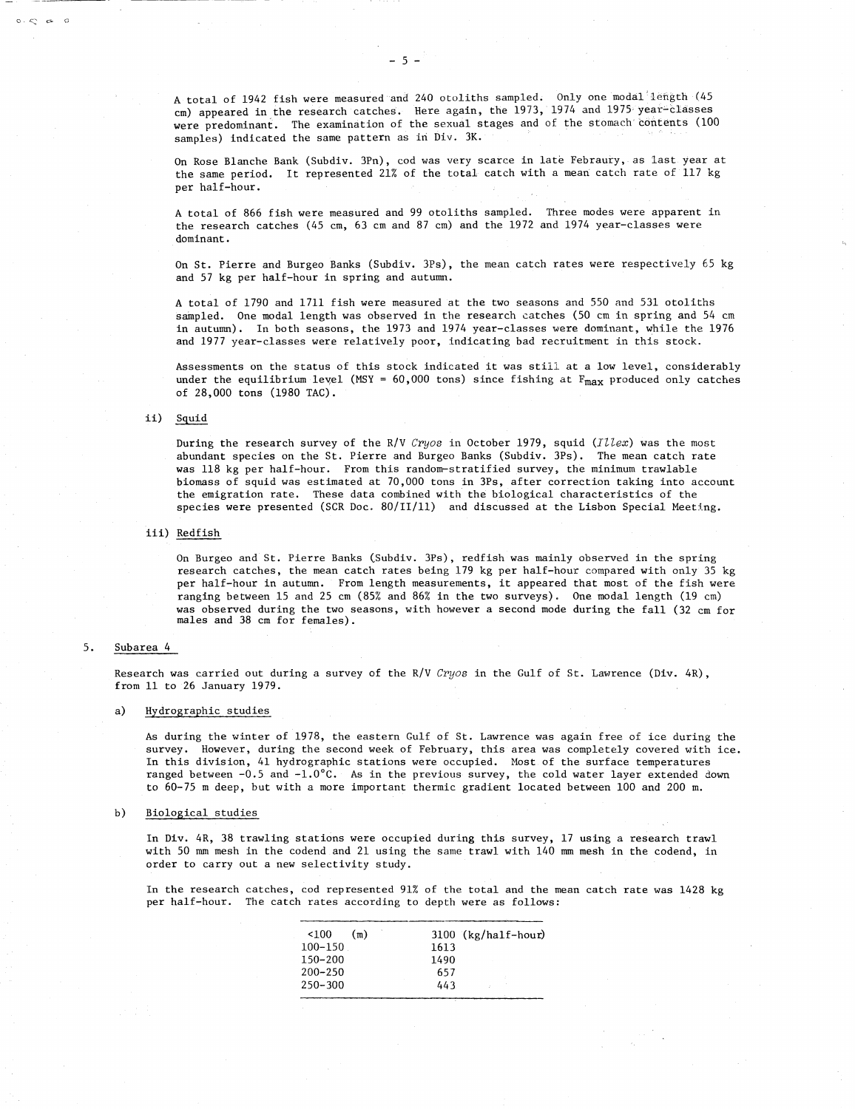A total of 1942 fish were measured and 240 otoliths sampled. Only one modal length (45 cm) appeared in the research catches. Here again, the 1973, 1974 and 1975 year-classes were predominant. The examination of the sexual stages and of the stomach contents (100 samples) indicated the same pattern as in Div. 3K.

On Rose Blanche Bank (Subdiv. 3Pn), cod was very scarce in late Febraury, as last year at the same period. It represented 21% of the total catch with a mean catch rate of 117 kg per half-hour.

A total of 866 fish were measured and 99 otoliths sampled. Three modes were apparent in the research catches (45 cm, 63 cm and 87 cm) and the 1972 and 1974 year-classes were dominant.

On St. Pierre and Burgeo Banks (Subdiv. 3Ps), the mean catch rates were respectively 65 kg and 57 kg per half-hour in spring and autumn.

A total of 1790 and 1711 fish were measured at the two seasons and 550 and 531 otoliths sampled. One modal length was observed in the research catches (50 cm in spring and 54 cm in autumn). In both seasons, the 1973 and 1974 year-classes were dominant, while the 1976 and 1977 year-classes were relatively poor, indicating bad recruitment in this stock.

Assessments on the status of this stock indicated it was still at a low level, considerably under the equilibrium level (MSY =  $60,000$  tons) since fishing at  $F_{max}$  produced only catches of 28,000 tons (1980 TAC).

# ii) Squid

 $0.56$ 

During the research survey of the R/V *Cryos* in October 1979, squid *(Illex)* was the most abundant species on the St. Pierre and Burgeo Banks (Subdiv. 3Ps). The mean catch rate was 118 kg per half-hour. From this random-stratified survey, the minimum trawlable biomass of squid was estimated at 70,000 tons in 3Ps, after correction taking into account the emigration rate. These data combined with the biological characteristics of the species were presented (SCR Doc. 80/11/11) and discussed at the Lisbon Special Meeting.

# iii) Redfish

On Burgeo and St. Pierre Banks (Subdiv. 3Ps), redfish was mainly observed in the spring research catches, the mean catch rates being 179 kg per half-hour compared with only 35 kg per half-hour in autumn. From length measurements, it appeared that most of the fish were ranging between 15 and 25 cm (85% and 86% in the two surveys). One modal length (19 cm) was observed during the two seasons, with however a second mode during the fall (32 cm for males and 38 cm for females).

# iii)<br>5. Subarea 4<br>Research

Research was carried out during a survey of the R/V *Cryos* in the Gulf of St. Lawrence (Div. 4R), from 11 to 26 January 1979.

# Hydrographic studies a)

As during the winter of 1978, the eastern Gulf of St. Lawrence was again free of ice during the survey. However, during the second week of February, this area was completely covered with ice. In this division, 41 hydrographic stations were occupied. Most of the surface temperatures ranged between -0.5 and -1.0°C. As in the previous survey, the cold water layer extended down to 60-75 m deep, but with a more important thermic gradient located between 100 and 200 m.

# $b)$ Biological studies

In Div. 4R, 38 trawling stations were occupied during this survey, 17 using a research trawl with 50 mm mesh in the codend and 21 using the same trawl with 140 mm mesh in the codend, in order to carry out a new selectivity study.

In the research catches, cod represented 91% of the total and the mean catch rate was 1428 kg per half-hour. The catch rates according to depth were as follows:

| selectivity study. |     |      |                       | tations were occupied during this survey<br>dend and 21 using the same trawl with 140 |
|--------------------|-----|------|-----------------------|---------------------------------------------------------------------------------------|
|                    |     |      |                       | cod represented 91% of the total and the<br>rates according to depth were as follows  |
| <100               | (m) |      | $3100$ (kg/half-hour) |                                                                                       |
| $100-150$ .        |     | 1613 |                       |                                                                                       |
| 150-200            |     | 1490 |                       |                                                                                       |
| 200–250            |     | 657  |                       |                                                                                       |
| 250-300            |     | 443. |                       |                                                                                       |
|                    |     |      |                       |                                                                                       |
|                    |     |      |                       |                                                                                       |
|                    |     |      |                       |                                                                                       |